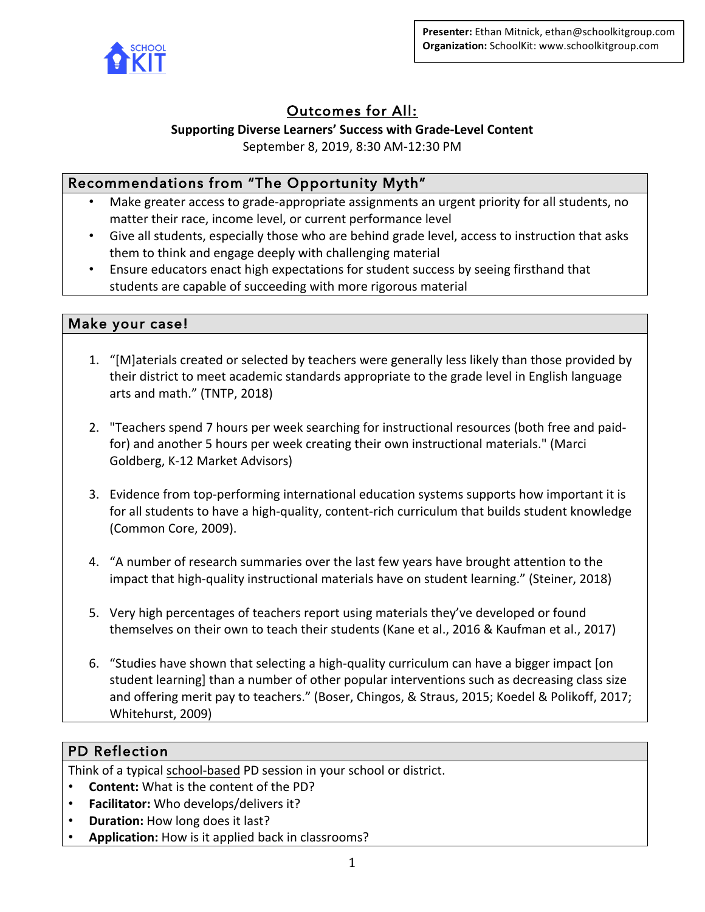

# Outcomes for All:

# Supporting Diverse Learners' Success with Grade-Level Content

September 8, 2019, 8:30 AM-12:30 PM

# Recommendations from "The Opportunity Myth"

- Make greater access to grade-appropriate assignments an urgent priority for all students, no matter their race, income level, or current performance level
- Give all students, especially those who are behind grade level, access to instruction that asks them to think and engage deeply with challenging material
- Ensure educators enact high expectations for student success by seeing firsthand that students are capable of succeeding with more rigorous material

# Make your case!

- 1. "[M]aterials created or selected by teachers were generally less likely than those provided by their district to meet academic standards appropriate to the grade level in English language arts and math." (TNTP, 2018)
- 2. "Teachers spend 7 hours per week searching for instructional resources (both free and paidfor) and another 5 hours per week creating their own instructional materials." (Marci Goldberg, K-12 Market Advisors)
- 3. Evidence from top-performing international education systems supports how important it is for all students to have a high-quality, content-rich curriculum that builds student knowledge (Common Core, 2009).
- 4. "A number of research summaries over the last few years have brought attention to the impact that high-quality instructional materials have on student learning." (Steiner, 2018)
- 5. Very high percentages of teachers report using materials they've developed or found themselves on their own to teach their students (Kane et al., 2016 & Kaufman et al., 2017)
- 6. "Studies have shown that selecting a high-quality curriculum can have a bigger impact [on student learning] than a number of other popular interventions such as decreasing class size and offering merit pay to teachers." (Boser, Chingos, & Straus, 2015; Koedel & Polikoff, 2017; Whitehurst, 2009)

# PD Reflection

Think of a typical school-based PD session in your school or district.

- **Content:** What is the content of the PD?
- **Facilitator:** Who develops/delivers it?
- **Duration:** How long does it last?
- Application: How is it applied back in classrooms?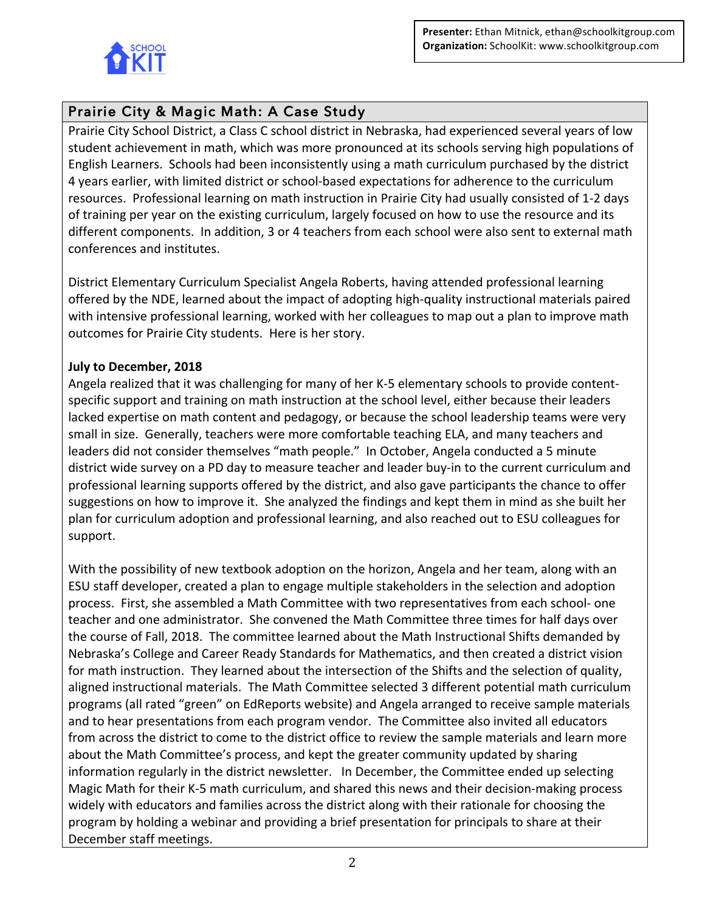

# Prairie City & Magic Math: A Case Study

Prairie City School District, a Class C school district in Nebraska, had experienced several years of low student achievement in math, which was more pronounced at its schools serving high populations of English Learners. Schools had been inconsistently using a math curriculum purchased by the district 4 years earlier, with limited district or school-based expectations for adherence to the curriculum resources. Professional learning on math instruction in Prairie City had usually consisted of 1-2 days of training per year on the existing curriculum, largely focused on how to use the resource and its different components. In addition, 3 or 4 teachers from each school were also sent to external math conferences and institutes.

District Elementary Curriculum Specialist Angela Roberts, having attended professional learning offered by the NDE, learned about the impact of adopting high-quality instructional materials paired with intensive professional learning, worked with her colleagues to map out a plan to improve math outcomes for Prairie City students. Here is her story.

## **July to December, 2018**

Angela realized that it was challenging for many of her K-5 elementary schools to provide contentspecific support and training on math instruction at the school level, either because their leaders lacked expertise on math content and pedagogy, or because the school leadership teams were very small in size. Generally, teachers were more comfortable teaching ELA, and many teachers and leaders did not consider themselves "math people." In October, Angela conducted a 5 minute district wide survey on a PD day to measure teacher and leader buy-in to the current curriculum and professional learning supports offered by the district, and also gave participants the chance to offer suggestions on how to improve it. She analyzed the findings and kept them in mind as she built her plan for curriculum adoption and professional learning, and also reached out to ESU colleagues for support.

With the possibility of new textbook adoption on the horizon, Angela and her team, along with an ESU staff developer, created a plan to engage multiple stakeholders in the selection and adoption process. First, she assembled a Math Committee with two representatives from each school- one teacher and one administrator. She convened the Math Committee three times for half days over the course of Fall, 2018. The committee learned about the Math Instructional Shifts demanded by Nebraska's College and Career Ready Standards for Mathematics, and then created a district vision for math instruction. They learned about the intersection of the Shifts and the selection of quality, aligned instructional materials. The Math Committee selected 3 different potential math curriculum programs (all rated "green" on EdReports website) and Angela arranged to receive sample materials and to hear presentations from each program vendor. The Committee also invited all educators from across the district to come to the district office to review the sample materials and learn more about the Math Committee's process, and kept the greater community updated by sharing information regularly in the district newsletter. In December, the Committee ended up selecting Magic Math for their K-5 math curriculum, and shared this news and their decision-making process widely with educators and families across the district along with their rationale for choosing the program by holding a webinar and providing a brief presentation for principals to share at their December staff meetings.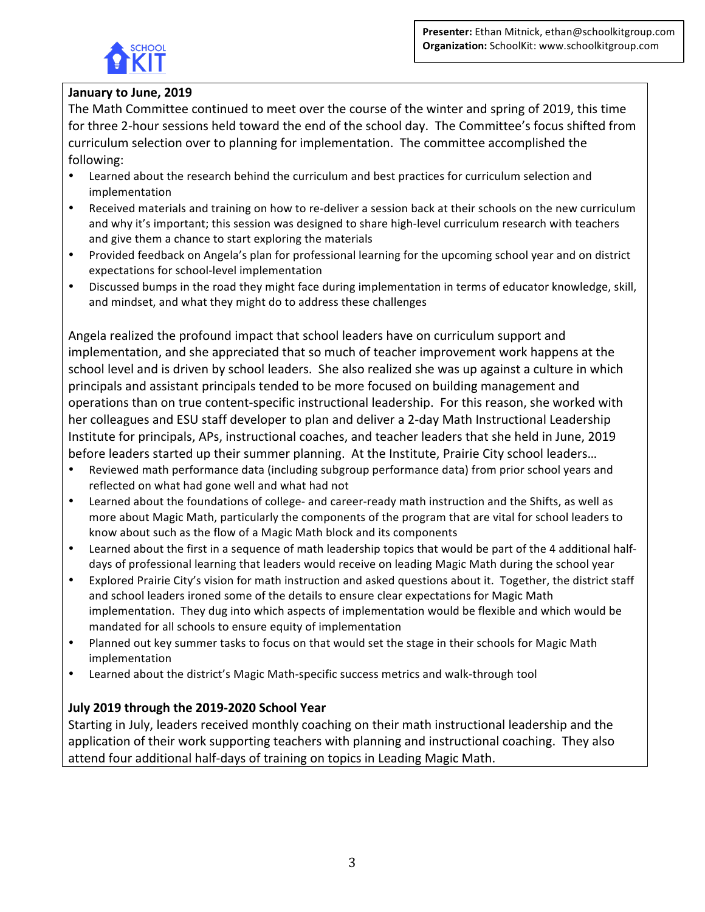

# January to June, 2019

The Math Committee continued to meet over the course of the winter and spring of 2019, this time for three 2-hour sessions held toward the end of the school day. The Committee's focus shifted from curriculum selection over to planning for implementation. The committee accomplished the following:

- Learned about the research behind the curriculum and best practices for curriculum selection and implementation
- Received materials and training on how to re-deliver a session back at their schools on the new curriculum and why it's important; this session was designed to share high-level curriculum research with teachers and give them a chance to start exploring the materials
- Provided feedback on Angela's plan for professional learning for the upcoming school year and on district expectations for school-level implementation
- Discussed bumps in the road they might face during implementation in terms of educator knowledge, skill, and mindset, and what they might do to address these challenges

Angela realized the profound impact that school leaders have on curriculum support and implementation, and she appreciated that so much of teacher improvement work happens at the school level and is driven by school leaders. She also realized she was up against a culture in which principals and assistant principals tended to be more focused on building management and operations than on true content-specific instructional leadership. For this reason, she worked with her colleagues and ESU staff developer to plan and deliver a 2-day Math Instructional Leadership Institute for principals, APs, instructional coaches, and teacher leaders that she held in June, 2019 before leaders started up their summer planning. At the Institute, Prairie City school leaders...

- Reviewed math performance data (including subgroup performance data) from prior school years and reflected on what had gone well and what had not
- Learned about the foundations of college- and career-ready math instruction and the Shifts, as well as more about Magic Math, particularly the components of the program that are vital for school leaders to know about such as the flow of a Magic Math block and its components
- Learned about the first in a sequence of math leadership topics that would be part of the 4 additional halfdays of professional learning that leaders would receive on leading Magic Math during the school year
- Explored Prairie City's vision for math instruction and asked questions about it. Together, the district staff and school leaders ironed some of the details to ensure clear expectations for Magic Math implementation. They dug into which aspects of implementation would be flexible and which would be mandated for all schools to ensure equity of implementation
- Planned out key summer tasks to focus on that would set the stage in their schools for Magic Math implementation
- Learned about the district's Magic Math-specific success metrics and walk-through tool

## **July 2019 through the 2019-2020 School Year**

Starting in July, leaders received monthly coaching on their math instructional leadership and the application of their work supporting teachers with planning and instructional coaching. They also attend four additional half-days of training on topics in Leading Magic Math.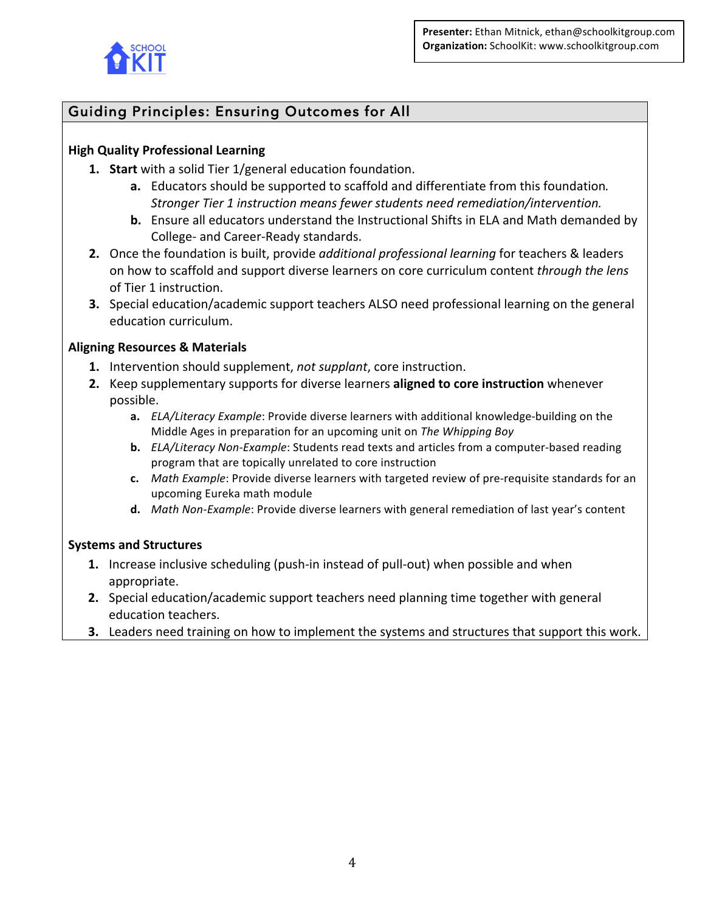

# Guiding Principles: Ensuring Outcomes for All

## **High Quality Professional Learning**

- **1.** Start with a solid Tier 1/general education foundation.
	- **a.** Educators should be supported to scaffold and differentiate from this foundation. Stronger Tier 1 instruction means fewer students need remediation/intervention.
	- **b.** Ensure all educators understand the Instructional Shifts in ELA and Math demanded by College- and Career-Ready standards.
- **2.** Once the foundation is built, provide *additional professional learning* for teachers & leaders on how to scaffold and support diverse learners on core curriculum content *through the lens* of Tier 1 instruction.
- **3.** Special education/academic support teachers ALSO need professional learning on the general education curriculum.

## **Aligning Resources & Materials**

- **1.** Intervention should supplement, *not supplant*, core instruction.
- **2.** Keep supplementary supports for diverse learners **aligned to core instruction** whenever possible.
	- **a.** *ELA/Literacy Example*: Provide diverse learners with additional knowledge-building on the Middle Ages in preparation for an upcoming unit on *The Whipping Boy*
	- **b.** *ELA/Literacy Non-Example*: Students read texts and articles from a computer-based reading program that are topically unrelated to core instruction
	- **c.** *Math Example*: Provide diverse learners with targeted review of pre-requisite standards for an upcoming Eureka math module
	- **d.** Math Non-Example: Provide diverse learners with general remediation of last year's content

## **Systems and Structures**

- **1.** Increase inclusive scheduling (push-in instead of pull-out) when possible and when appropriate.
- **2.** Special education/academic support teachers need planning time together with general education teachers.
- **3.** Leaders need training on how to implement the systems and structures that support this work.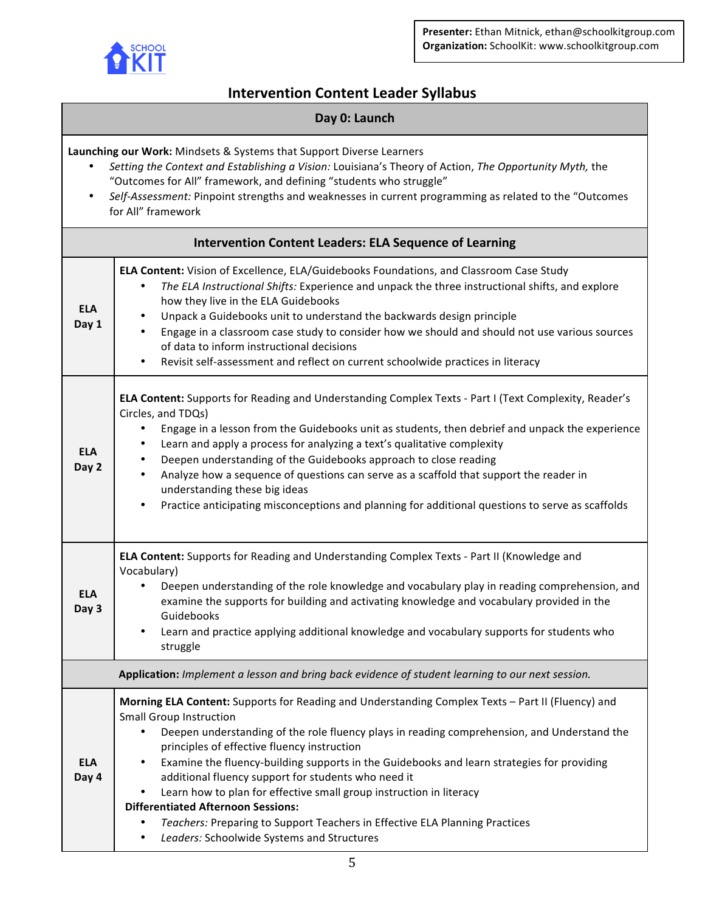

# **Intervention Content Leader Syllabus**

### **Day 0: Launch**

Launching our Work: Mindsets & Systems that Support Diverse Learners

- Setting the Context and Establishing a Vision: Louisiana's Theory of Action, *The Opportunity Myth*, the "Outcomes for All" framework, and defining "students who struggle"
- Self-Assessment: Pinpoint strengths and weaknesses in current programming as related to the "Outcomes for All" framework

| <b>Intervention Content Leaders: ELA Sequence of Learning</b>                                    |                                                                                                                                                                                                                                                                                                                                                                                                                                                                                                                                                                                                                                                                                                                   |  |
|--------------------------------------------------------------------------------------------------|-------------------------------------------------------------------------------------------------------------------------------------------------------------------------------------------------------------------------------------------------------------------------------------------------------------------------------------------------------------------------------------------------------------------------------------------------------------------------------------------------------------------------------------------------------------------------------------------------------------------------------------------------------------------------------------------------------------------|--|
| <b>ELA</b><br>Day 1                                                                              | ELA Content: Vision of Excellence, ELA/Guidebooks Foundations, and Classroom Case Study<br>The ELA Instructional Shifts: Experience and unpack the three instructional shifts, and explore<br>$\bullet$<br>how they live in the ELA Guidebooks<br>Unpack a Guidebooks unit to understand the backwards design principle<br>$\bullet$<br>Engage in a classroom case study to consider how we should and should not use various sources<br>$\bullet$<br>of data to inform instructional decisions<br>Revisit self-assessment and reflect on current schoolwide practices in literacy<br>$\bullet$                                                                                                                   |  |
| <b>ELA</b><br>Day 2                                                                              | ELA Content: Supports for Reading and Understanding Complex Texts - Part I (Text Complexity, Reader's<br>Circles, and TDQs)<br>Engage in a lesson from the Guidebooks unit as students, then debrief and unpack the experience<br>$\bullet$<br>Learn and apply a process for analyzing a text's qualitative complexity<br>$\bullet$<br>Deepen understanding of the Guidebooks approach to close reading<br>٠<br>Analyze how a sequence of questions can serve as a scaffold that support the reader in<br>$\bullet$<br>understanding these big ideas<br>Practice anticipating misconceptions and planning for additional questions to serve as scaffolds<br>$\bullet$                                             |  |
| <b>ELA</b><br>Day 3                                                                              | ELA Content: Supports for Reading and Understanding Complex Texts - Part II (Knowledge and<br>Vocabulary)<br>Deepen understanding of the role knowledge and vocabulary play in reading comprehension, and<br>$\bullet$<br>examine the supports for building and activating knowledge and vocabulary provided in the<br>Guidebooks<br>Learn and practice applying additional knowledge and vocabulary supports for students who<br>٠<br>struggle                                                                                                                                                                                                                                                                   |  |
| Application: Implement a lesson and bring back evidence of student learning to our next session. |                                                                                                                                                                                                                                                                                                                                                                                                                                                                                                                                                                                                                                                                                                                   |  |
| <b>ELA</b><br>Day 4                                                                              | Morning ELA Content: Supports for Reading and Understanding Complex Texts - Part II (Fluency) and<br><b>Small Group Instruction</b><br>Deepen understanding of the role fluency plays in reading comprehension, and Understand the<br>principles of effective fluency instruction<br>Examine the fluency-building supports in the Guidebooks and learn strategies for providing<br>additional fluency support for students who need it<br>Learn how to plan for effective small group instruction in literacy<br>$\bullet$<br><b>Differentiated Afternoon Sessions:</b><br>Teachers: Preparing to Support Teachers in Effective ELA Planning Practices<br>$\bullet$<br>Leaders: Schoolwide Systems and Structures |  |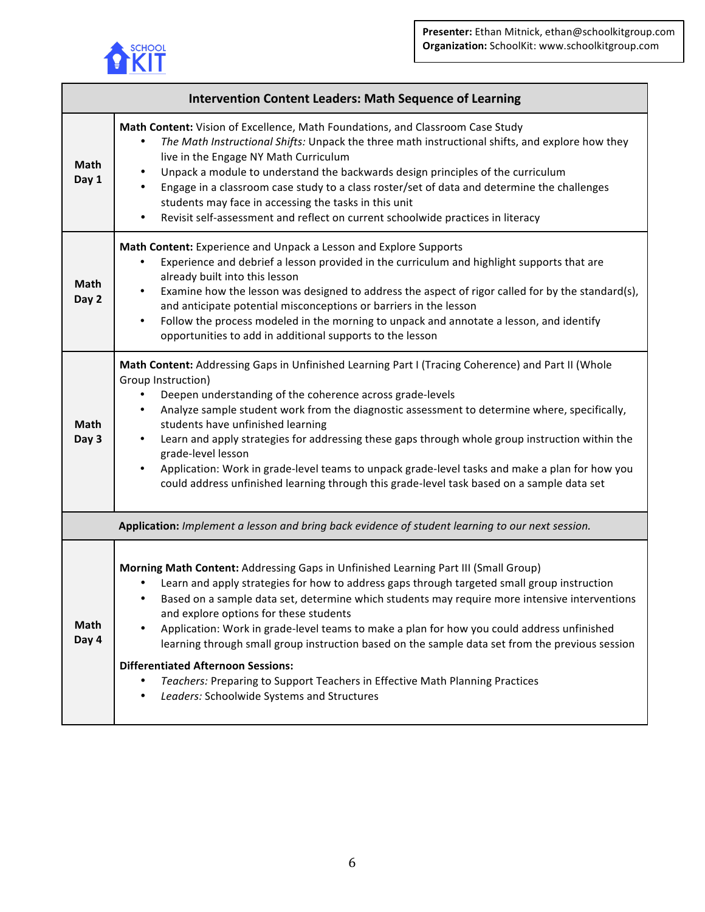

| <b>Intervention Content Leaders: Math Sequence of Learning</b> |                                                                                                                                                                                                                                                                                                                                                                                                                                                                                                                                                                                                                                                                                                           |  |
|----------------------------------------------------------------|-----------------------------------------------------------------------------------------------------------------------------------------------------------------------------------------------------------------------------------------------------------------------------------------------------------------------------------------------------------------------------------------------------------------------------------------------------------------------------------------------------------------------------------------------------------------------------------------------------------------------------------------------------------------------------------------------------------|--|
| Math<br>Day 1                                                  | Math Content: Vision of Excellence, Math Foundations, and Classroom Case Study<br>The Math Instructional Shifts: Unpack the three math instructional shifts, and explore how they<br>live in the Engage NY Math Curriculum<br>Unpack a module to understand the backwards design principles of the curriculum<br>٠<br>Engage in a classroom case study to a class roster/set of data and determine the challenges<br>٠<br>students may face in accessing the tasks in this unit<br>Revisit self-assessment and reflect on current schoolwide practices in literacy<br>٠                                                                                                                                   |  |
| <b>Math</b><br>Day 2                                           | Math Content: Experience and Unpack a Lesson and Explore Supports<br>Experience and debrief a lesson provided in the curriculum and highlight supports that are<br>$\bullet$<br>already built into this lesson<br>Examine how the lesson was designed to address the aspect of rigor called for by the standard(s),<br>and anticipate potential misconceptions or barriers in the lesson<br>Follow the process modeled in the morning to unpack and annotate a lesson, and identify<br>٠<br>opportunities to add in additional supports to the lesson                                                                                                                                                     |  |
| Math<br>Day 3                                                  | Math Content: Addressing Gaps in Unfinished Learning Part I (Tracing Coherence) and Part II (Whole<br>Group Instruction)<br>Deepen understanding of the coherence across grade-levels<br>Analyze sample student work from the diagnostic assessment to determine where, specifically,<br>$\bullet$<br>students have unfinished learning<br>Learn and apply strategies for addressing these gaps through whole group instruction within the<br>$\bullet$<br>grade-level lesson<br>Application: Work in grade-level teams to unpack grade-level tasks and make a plan for how you<br>$\bullet$<br>could address unfinished learning through this grade-level task based on a sample data set                |  |
|                                                                | Application: Implement a lesson and bring back evidence of student learning to our next session.                                                                                                                                                                                                                                                                                                                                                                                                                                                                                                                                                                                                          |  |
| <b>Math</b><br>Day 4                                           | Morning Math Content: Addressing Gaps in Unfinished Learning Part III (Small Group)<br>Learn and apply strategies for how to address gaps through targeted small group instruction<br>Based on a sample data set, determine which students may require more intensive interventions<br>and explore options for these students<br>Application: Work in grade-level teams to make a plan for how you could address unfinished<br>learning through small group instruction based on the sample data set from the previous session<br><b>Differentiated Afternoon Sessions:</b><br>Teachers: Preparing to Support Teachers in Effective Math Planning Practices<br>Leaders: Schoolwide Systems and Structures |  |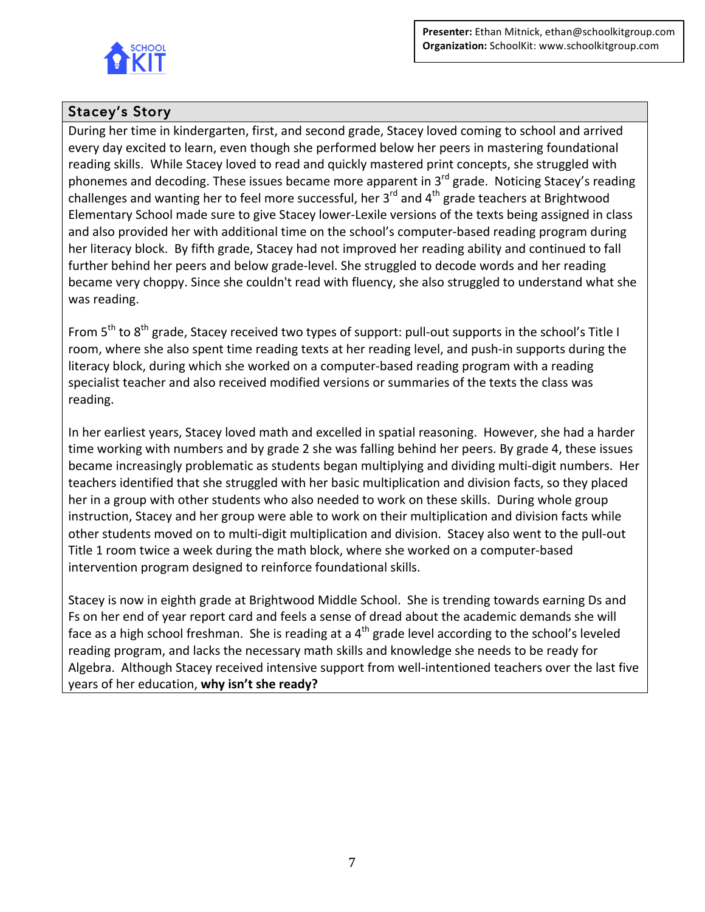

# Stacey's Story

During her time in kindergarten, first, and second grade, Stacey loved coming to school and arrived every day excited to learn, even though she performed below her peers in mastering foundational reading skills. While Stacey loved to read and quickly mastered print concepts, she struggled with phonemes and decoding. These issues became more apparent in  $3^{rd}$  grade. Noticing Stacey's reading challenges and wanting her to feel more successful, her  $3^{rd}$  and  $4^{th}$  grade teachers at Brightwood Elementary School made sure to give Stacey lower-Lexile versions of the texts being assigned in class and also provided her with additional time on the school's computer-based reading program during her literacy block. By fifth grade, Stacey had not improved her reading ability and continued to fall further behind her peers and below grade-level. She struggled to decode words and her reading became very choppy. Since she couldn't read with fluency, she also struggled to understand what she was reading.

From  $5<sup>th</sup>$  to  $8<sup>th</sup>$  grade, Stacey received two types of support: pull-out supports in the school's Title I room, where she also spent time reading texts at her reading level, and push-in supports during the literacy block, during which she worked on a computer-based reading program with a reading specialist teacher and also received modified versions or summaries of the texts the class was reading.

In her earliest years, Stacey loved math and excelled in spatial reasoning. However, she had a harder time working with numbers and by grade 2 she was falling behind her peers. By grade 4, these issues became increasingly problematic as students began multiplying and dividing multi-digit numbers. Her teachers identified that she struggled with her basic multiplication and division facts, so they placed her in a group with other students who also needed to work on these skills. During whole group instruction, Stacey and her group were able to work on their multiplication and division facts while other students moved on to multi-digit multiplication and division. Stacey also went to the pull-out Title 1 room twice a week during the math block, where she worked on a computer-based intervention program designed to reinforce foundational skills.

Stacey is now in eighth grade at Brightwood Middle School. She is trending towards earning Ds and Fs on her end of year report card and feels a sense of dread about the academic demands she will face as a high school freshman. She is reading at a  $4<sup>th</sup>$  grade level according to the school's leveled reading program, and lacks the necessary math skills and knowledge she needs to be ready for Algebra. Although Stacey received intensive support from well-intentioned teachers over the last five years of her education, why isn't she ready?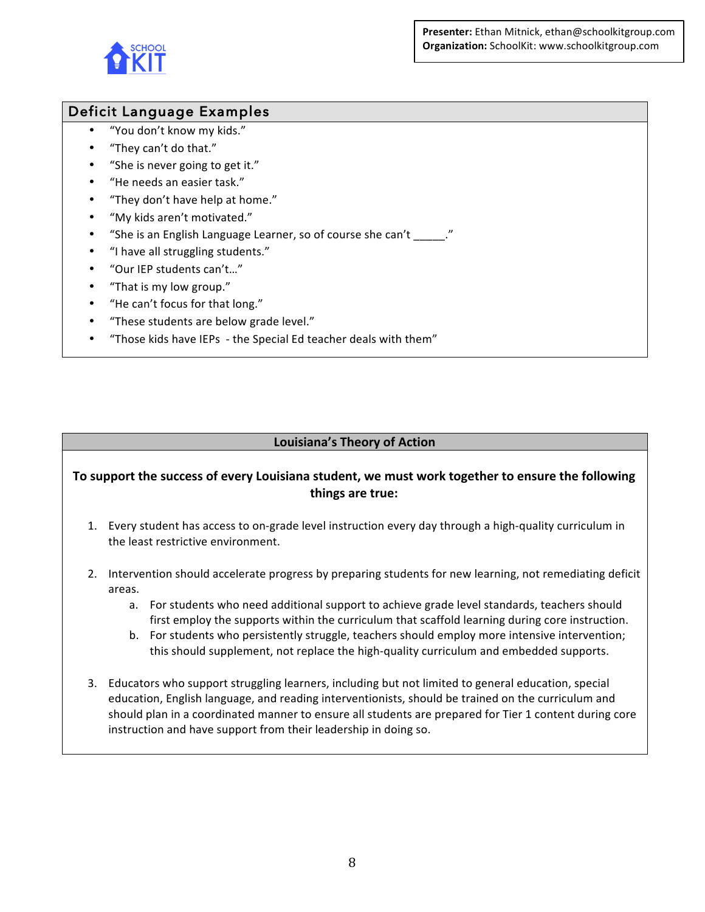**Presenter:** Ethan Mitnick, ethan@schoolkitgroup.com **Organization:** SchoolKit: www.schoolkitgroup.com



# Deficit Language Examples

- "You don't know my kids."
- "They can't do that."
- "She is never going to get it."
- "He needs an easier task."
- "They don't have help at home."
- "My kids aren't motivated."
- "She is an English Language Learner, so of course she can't "
- "I have all struggling students."
- "Our IEP students can't..."
- "That is my low group."
- "He can't focus for that long."
- "These students are below grade level."
- "Those kids have IEPs the Special Ed teacher deals with them"

#### **Louisiana's Theory of Action**

#### To support the success of every Louisiana student, we must work together to ensure the following **things are true:**

- 1. Every student has access to on-grade level instruction every day through a high-quality curriculum in the least restrictive environment.
- 2. Intervention should accelerate progress by preparing students for new learning, not remediating deficit areas.
	- a. For students who need additional support to achieve grade level standards, teachers should first employ the supports within the curriculum that scaffold learning during core instruction.
	- b. For students who persistently struggle, teachers should employ more intensive intervention; this should supplement, not replace the high-quality curriculum and embedded supports.
- 3. Educators who support struggling learners, including but not limited to general education, special education, English language, and reading interventionists, should be trained on the curriculum and should plan in a coordinated manner to ensure all students are prepared for Tier 1 content during core instruction and have support from their leadership in doing so.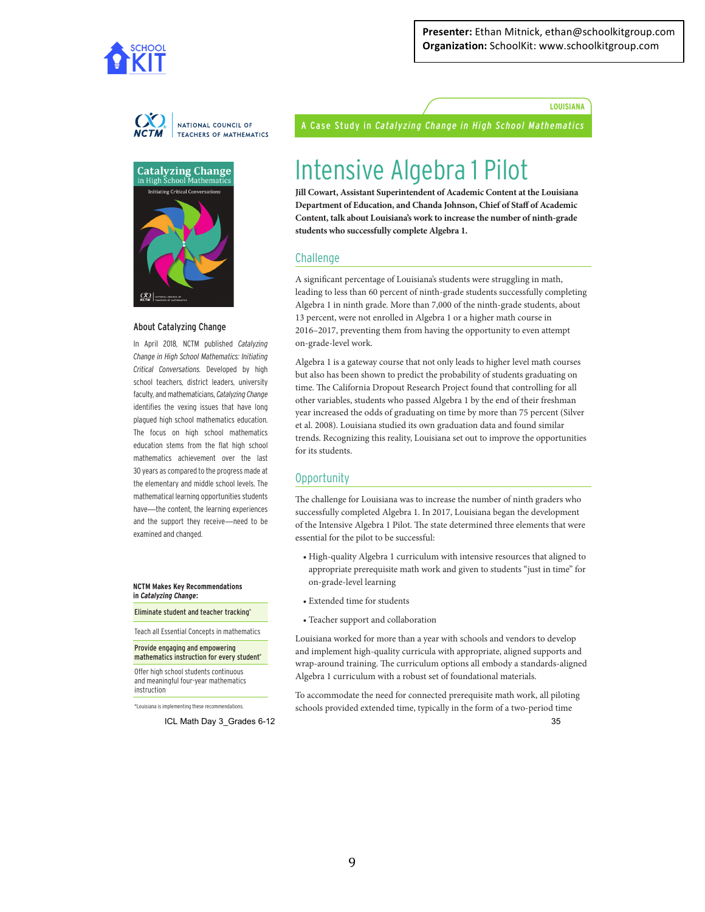

**LOUISIANA**



**Catalyzing Change**<br>in High School Mathematics in High S **Initiating Critical Co**  $\bigcup_{NCTM} \big|$  ".

#### About Catalyzing Change

In April 2018, NCTM published *Catalyzing Change in High School Mathematics: Initiating Critical Conversations.* Developed by high school teachers, district leaders, university faculty, and mathematicians, *Catalyzing Change* identifies the vexing issues that have long plagued high school mathematics education. The focus on high school mathematics education stems from the flat high school mathematics achievement over the last 30 years as compared to the progress made at the elementary and middle school levels. The mathematical learning opportunities students have—the content, the learning experiences and the support they receive—need to be examined and changed.

**NCTM Makes Key Recommendations in** *Catalyzing Change***:**

Eliminate student and teacher tracking\*

Teach all Essential Concepts in mathematics

Provide engaging and empowering mathematics instruction for every student\*

Offer high school students continuous and meaningful four-year mathematics instruction

\*Louisiana is implementing these recommendations.

ICL Math Day 3\_Grades 6-12 35

A Case Study in *Catalyzing Change in High School Mathematics*

# Intensive Algebra 1 Pilot

**Jill Cowart, Assistant Superintendent of Academic Content at the Louisiana Department of Education, and Chanda Johnson, Chief of Staf of Academic Content, talk about Louisiana's work to increase the number of ninth-grade students who successfully complete Algebra 1.**

#### **Challenge**

A signifcant percentage of Louisiana's students were struggling in math, leading to less than 60 percent of ninth-grade students successfully completing Algebra 1 in ninth grade. More than 7,000 of the ninth-grade students, about 13 percent, were not enrolled in Algebra 1 or a higher math course in 2016–2017, preventing them from having the opportunity to even attempt on-grade-level work.

Algebra 1 is a gateway course that not only leads to higher level math courses but also has been shown to predict the probability of students graduating on time. The California Dropout Research Project found that controlling for all other variables, students who passed Algebra 1 by the end of their freshman year increased the odds of graduating on time by more than 75 percent (Silver et al. 2008). Louisiana studied its own graduation data and found similar trends. Recognizing this reality, Louisiana set out to improve the opportunities for its students.

#### Opportunity

The challenge for Louisiana was to increase the number of ninth graders who successfully completed Algebra 1. In 2017, Louisiana began the development of the Intensive Algebra 1 Pilot. The state determined three elements that were essential for the pilot to be successful:

- High-quality Algebra 1 curriculum with intensive resources that aligned to appropriate prerequisite math work and given to students "just in time" for on-grade-level learning
- Extended time for students
- Teacher support and collaboration

Louisiana worked for more than a year with schools and vendors to develop and implement high-quality curricula with appropriate, aligned supports and wrap-around training. The curriculum options all embody a standards-aligned Algebra 1 curriculum with a robust set of foundational materials.

To accommodate the need for connected prerequisite math work, all piloting schools provided extended time, typically in the form of a two-period time